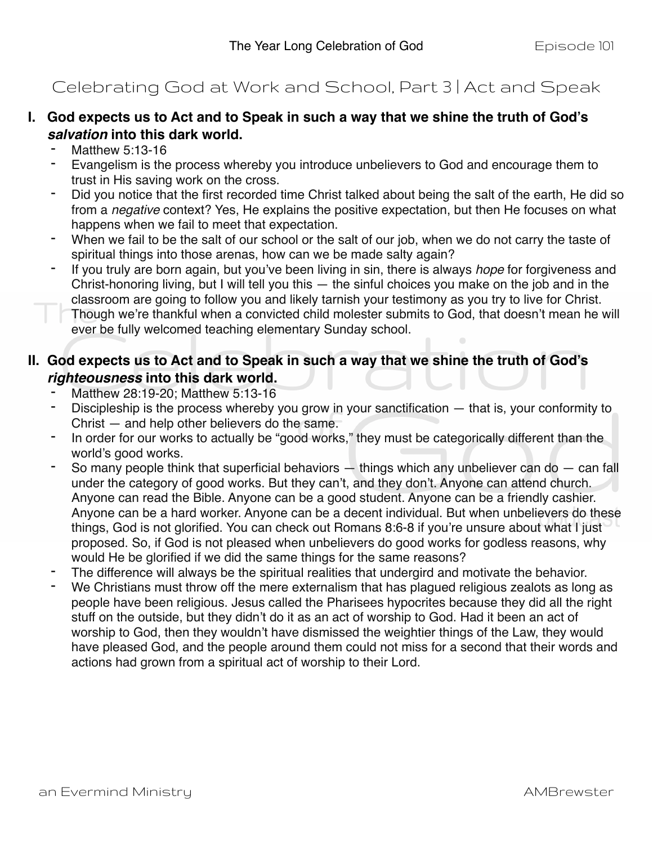## Celebrating God at Work and School, Part 3 | Act and Speak

## **I. God expects us to Act and to Speak in such a way that we shine the truth of God's**  *salvation* **into this dark world.**

- Matthew 5:13-16
- Evangelism is the process whereby you introduce unbelievers to God and encourage them to trust in His saving work on the cross.
- Did you notice that the first recorded time Christ talked about being the salt of the earth, He did so from a *negative* context? Yes, He explains the positive expectation, but then He focuses on what happens when we fail to meet that expectation.
- When we fail to be the salt of our school or the salt of our job, when we do not carry the taste of spiritual things into those arenas, how can we be made salty again?
- If you truly are born again, but you've been living in sin, there is always *hope* for forgiveness and Christ-honoring living, but I will tell you this  $-$  the sinful choices you make on the job and in the classroom are going to follow you and likely tarnish your testimony as you try to live for Christ.
	- Though we're thankful when a convicted child molester submits to God, that doesn't mean he will ever be fully welcomed teaching elementary Sunday school.

## **II. God expects us to Act and to Speak in such a way that we shine the truth of God's**  *righteousness* **into this dark world.**

- Matthew 28:19-20; Matthew 5:13-16
- Discipleship is the process whereby you grow in your sanctification  $-$  that is, your conformity to Christ — and help other believers do the same.
- In order for our works to actually be "good works," they must be categorically different than the world's good works.
- So many people think that superficial behaviors  $-$  things which any unbeliever can do  $-$  can fall under the category of good works. But they can't, and they don't. Anyone can attend church. Anyone can read the Bible. Anyone can be a good student. Anyone can be a friendly cashier. Anyone can be a hard worker. Anyone can be a decent individual. But when unbelievers do these things, God is not glorified. You can check out Romans 8:6-8 if you're unsure about what I just proposed. So, if God is not pleased when unbelievers do good works for godless reasons, why would He be glorified if we did the same things for the same reasons?
- The difference will always be the spiritual realities that undergird and motivate the behavior.
- We Christians must throw off the mere externalism that has plagued religious zealots as long as people have been religious. Jesus called the Pharisees hypocrites because they did all the right stuff on the outside, but they didn't do it as an act of worship to God. Had it been an act of worship to God, then they wouldn't have dismissed the weightier things of the Law, they would have pleased God, and the people around them could not miss for a second that their words and actions had grown from a spiritual act of worship to their Lord.